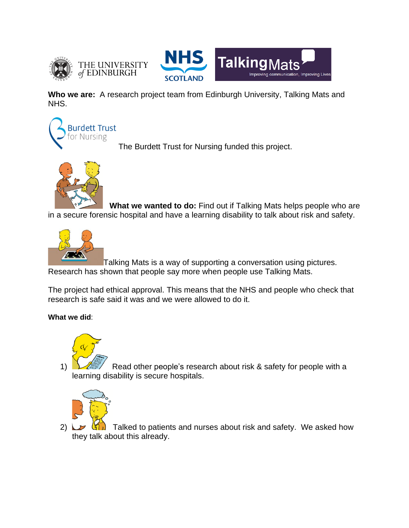



**Who we are:** A research project team from Edinburgh University, Talking Mats and NHS.



The Burdett Trust for Nursing funded this project.



 **What we wanted to do:** Find out if Talking Mats helps people who are in a secure forensic hospital and have a learning disability to talk about risk and safety.



Talking Mats is a way of supporting a conversation using pictures. Research has shown that people say more when people use Talking Mats.

The project had ethical approval. This means that the NHS and people who check that research is safe said it was and we were allowed to do it.

## **What we did**:



1)  $\mathcal{L}$  Read other people's research about risk & safety for people with a learning disability is secure hospitals.



2)  $\Box$   $\Diamond$   $\Diamond$  Talked to patients and nurses about risk and safety. We asked how they talk about this already.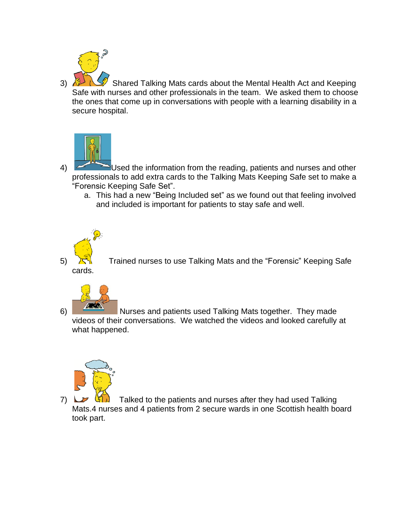

3) Shared Talking Mats cards about the Mental Health Act and Keeping Safe with nurses and other professionals in the team. We asked them to choose the ones that come up in conversations with people with a learning disability in a secure hospital.



4) Used the information from the reading, patients and nurses and other professionals to add extra cards to the Talking Mats Keeping Safe set to make a "Forensic Keeping Safe Set".

a. This had a new "Being Included set" as we found out that feeling involved and included is important for patients to stay safe and well.



5)  $\sum_{i=1}^{\infty}$  Trained nurses to use Talking Mats and the "Forensic" Keeping Safe



6) Nurses and patients used Talking Mats together. They made videos of their conversations. We watched the videos and looked carefully at what happened.



7)  $\Box$   $\Box$  Talked to the patients and nurses after they had used Talking Mats.4 nurses and 4 patients from 2 secure wards in one Scottish health board took part.